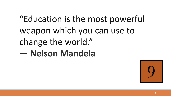# "Education is the most powerful weapon which you can use to change the world." ― **Nelson Mandela**

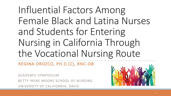Influential Factors Among Female Black and Latina Nurses and Students for Entering Nursing in California Through the Vocational Nursing Route

REGINA OROZCO, PH.D.(C), RNC-OB

ACADEMIC SYMPOSIUM BETTY IRENE MOORE SCHOOL OF NURSING UNIVERSITY OF CALIFORNIA, DAVIS

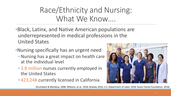### Race/Ethnicity and Nursing: What We Know….

- •Black, Latinx, and Native American populations are underrepresented in medical professions in the United States
- •Nursing specifically has an urgent need
	- Nursing has a great impact on health care at the individual level
	- 3.8 million nurses currently employed in the United States
	- 423,248 currently licensed in California



(Grumbach & Mendoza, 2008; Williams, et al., 2018; Brokaw, 2016; U.S. Department of Labor, 2018; Kaiser Family Foundation, 2018)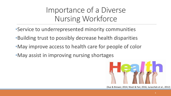Importance of a Diverse Nursing Workforce

- •Service to underrepresented minority communities
- •Building trust to possibly decrease health disparities
- •May improve access to health care for people of color
- •May assist in improving nursing shortages



(Xue & Brewer, 2014; Nivet & Fair, 2016; Juraschek et al., 2012)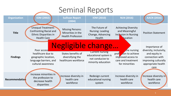### Seminal Reports

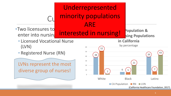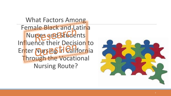What Factors Among Female Black and Latina Nurses gædstudents Influence their Decision to Enter Nurs BS In California Through the Vocational Nursing Route?

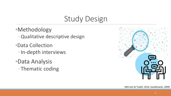## Study Design

- •Methodology ◦Qualitative descriptive design
- •Data Collection ◦In-depth interviews
- •Data Analysis ◦Thematic coding

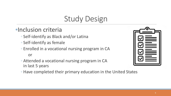## Study Design

### •Inclusion criteria

- Self-identify as Black and/or Latina
- Self-identify as female
- Enrolled in a vocational nursing program in CA

#### or

- Attended a vocational nursing program in CA in last 5 years
- Have completed their primary education in the United States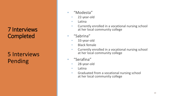### 7 Interviews **Completed**

5 Interviews Pending

- "Modesta"
	- 22-year-old
	- Latina
	- Currently enrolled in a vocational nursing school at her local community college
- "Sabrina"
	- 33-year-old
	- Black female
	- Currently enrolled in a vocational nursing school at her local community college
- "Serafina"
	- 28-year-old
	- Latina
	- Graduated from a vocational nursing school at her local community college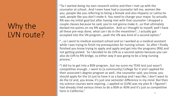## Why the LVN route?

•"So I started doing my own research online and then I met up with the counselor at school…And I even have had a counselor tell me, women like you..people like you referring to being a female and also Hispanic or Latina he said, people like you don't make it. You need to change your major. So actually RN was my initial goal but after having met with that counselor I dropped a couple classes because he said, you're not gonna make it…so that ultimately docked me points on my RN application. And so I thought to myself, well I have all these pre-reqs done, what can I do in the meantime?...I actually got accepted into the VN program…yeah the VN was kind of a second option."

•"…so I went to medical assistant school and so I worked as a medical assistant while I was trying to finish my prerequisites for nursing school. So after I finally finished you know trying to apply and apply and get into the programs [RN] and not getting picked. So I decided to do LVN as a second option because you can also do LVN to RN bridge, so either way it was going to be a long nursing process."

•"I did try to get into a BSN program…but my score my TEAS test just wasn't competitive enough…I went to [a community] College for it and I applied for their associate's degree program as well…the counselor said, you know, you should apply for the LV just to have it as a backup and I was like, I don't want to do the LV and, you know, it's just one semester difference in my mind. But then my science courses were expiring…I applied so [LVN] was my plan B. I figured I had already tried various times to do a BSN or ADN and it's just so competitive here in California."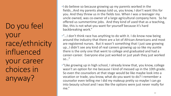Do you feel your race/ethnicity influenced your career choices in anyway?

•I do believe so because growing up my parents worked in the fields…And my parents always told us, you know, I don't want this for you. And they threw us in the fields too. When I was a teenager my uncle owned, was co-owner of a large agricultural company here. So he offered us summertime jobs. And they kind of used that as a teaching, like, this is not what you want for yourself because it's hard backbreaking work."

•"... I don't think race has anything to do with it. I do know now being around the industry that there are a lot of African-Americans and most are registered nurses. But it wasn't something that I just saw growing up…I didn't see any kind of real careers growing up so Iike my auntie there is the only one that went to college and graduated and had a career-career. Everyone else just worked or just yeah they just worked so…"

•"Like growing up in high school, I already knew that, you know, college wasn't an option for me because I kind of messed up in the 10th grade. So even the counselors at that stage would be like maybe look into a vocation or trade, you know, what do you want to do? I remember a counselor even telling me I did my makeup pretty so maybe I can go into beauty school and I was like the options were just never really for me."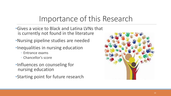### Importance of this Research

- •Gives a voice to Black and Latina LVNs that is currently not found in the literature
- •Nursing pipeline studies are needed
- •Inequalities in nursing education
	- Entrance exams
	- Chancellor's score
- •Influences on counseling for nursing education
- •Starting point for future research